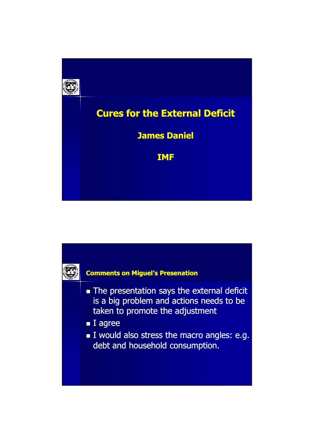



- The presentation says the external deficit is a big problem and actions needs to be taken to promote the adjustment
- **I** agree
- I would also stress the macro angles: e.g. debt and household consumption.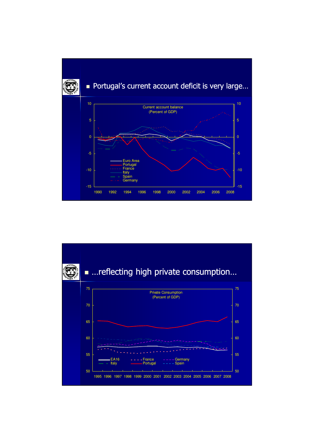

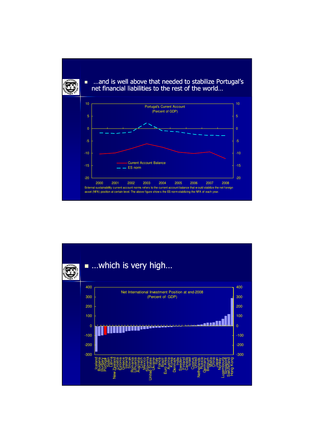